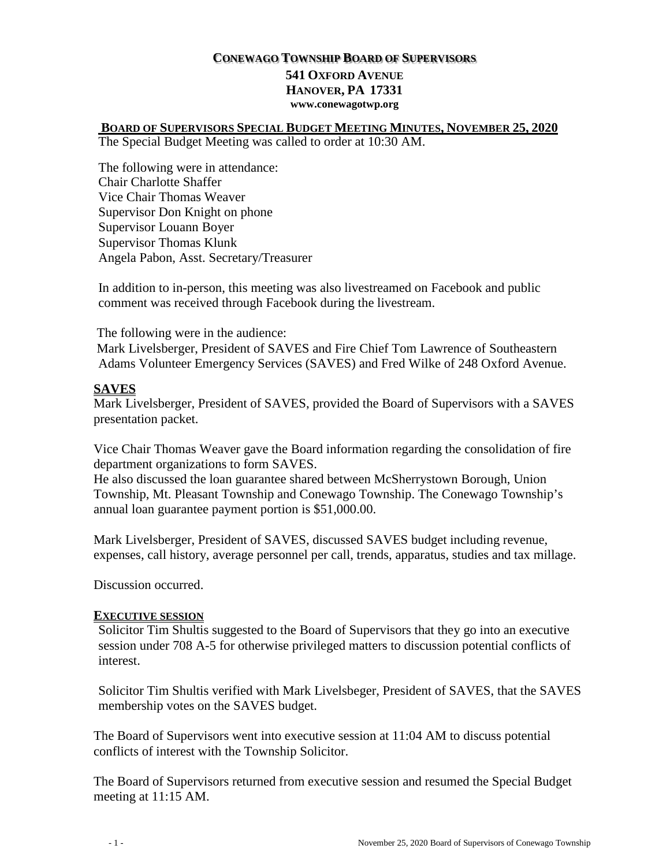#### **CONEWAGO TOWNSHIP BOARD OF SUPERVISORS 541 OXFORD AVENUE HANOVER, PA 17331 www.conewagotwp.org**

#### **BOARD OF SUPERVISORS SPECIAL BUDGET MEETING MINUTES, NOVEMBER 25, 2020** The Special Budget Meeting was called to order at 10:30 AM.

The following were in attendance: Chair Charlotte Shaffer Vice Chair Thomas Weaver Supervisor Don Knight on phone Supervisor Louann Boyer Supervisor Thomas Klunk Angela Pabon, Asst. Secretary/Treasurer

In addition to in-person, this meeting was also livestreamed on Facebook and public comment was received through Facebook during the livestream.

The following were in the audience: Mark Livelsberger, President of SAVES and Fire Chief Tom Lawrence of Southeastern Adams Volunteer Emergency Services (SAVES) and Fred Wilke of 248 Oxford Avenue.

## **SAVES**

Mark Livelsberger, President of SAVES, provided the Board of Supervisors with a SAVES presentation packet.

Vice Chair Thomas Weaver gave the Board information regarding the consolidation of fire department organizations to form SAVES.

He also discussed the loan guarantee shared between McSherrystown Borough, Union Township, Mt. Pleasant Township and Conewago Township. The Conewago Township's annual loan guarantee payment portion is \$51,000.00.

Mark Livelsberger, President of SAVES, discussed SAVES budget including revenue, expenses, call history, average personnel per call, trends, apparatus, studies and tax millage.

Discussion occurred.

### **EXECUTIVE SESSION**

Solicitor Tim Shultis suggested to the Board of Supervisors that they go into an executive session under 708 A-5 for otherwise privileged matters to discussion potential conflicts of interest.

Solicitor Tim Shultis verified with Mark Livelsbeger, President of SAVES, that the SAVES membership votes on the SAVES budget.

The Board of Supervisors went into executive session at 11:04 AM to discuss potential conflicts of interest with the Township Solicitor.

The Board of Supervisors returned from executive session and resumed the Special Budget meeting at 11:15 AM.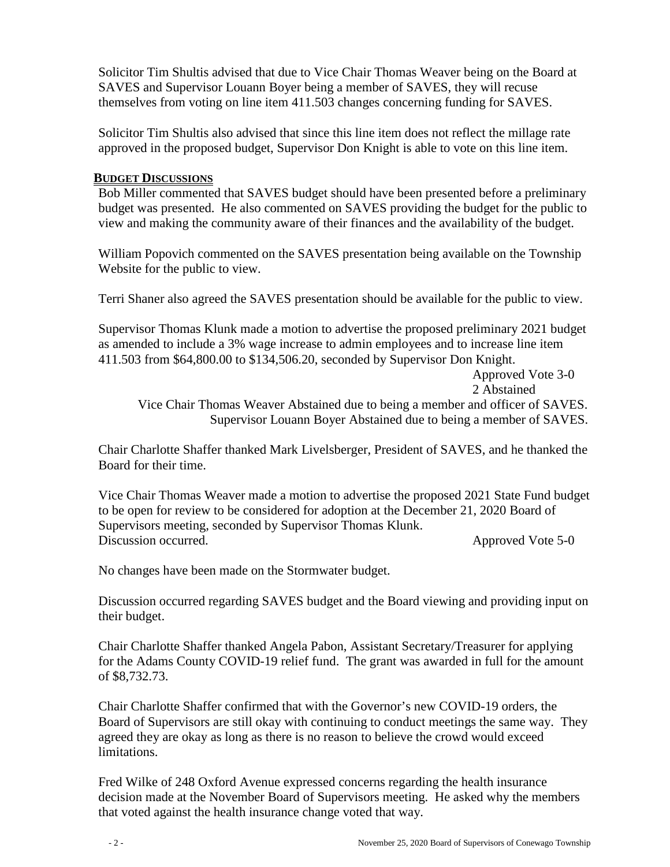Solicitor Tim Shultis advised that due to Vice Chair Thomas Weaver being on the Board at SAVES and Supervisor Louann Boyer being a member of SAVES, they will recuse themselves from voting on line item 411.503 changes concerning funding for SAVES.

Solicitor Tim Shultis also advised that since this line item does not reflect the millage rate approved in the proposed budget, Supervisor Don Knight is able to vote on this line item.

#### **BUDGET DISCUSSIONS**

Bob Miller commented that SAVES budget should have been presented before a preliminary budget was presented. He also commented on SAVES providing the budget for the public to view and making the community aware of their finances and the availability of the budget.

William Popovich commented on the SAVES presentation being available on the Township Website for the public to view.

Terri Shaner also agreed the SAVES presentation should be available for the public to view.

Supervisor Thomas Klunk made a motion to advertise the proposed preliminary 2021 budget as amended to include a 3% wage increase to admin employees and to increase line item 411.503 from \$64,800.00 to \$134,506.20, seconded by Supervisor Don Knight.

Approved Vote 3-0

2 Abstained

Vice Chair Thomas Weaver Abstained due to being a member and officer of SAVES. Supervisor Louann Boyer Abstained due to being a member of SAVES.

Chair Charlotte Shaffer thanked Mark Livelsberger, President of SAVES, and he thanked the Board for their time.

Vice Chair Thomas Weaver made a motion to advertise the proposed 2021 State Fund budget to be open for review to be considered for adoption at the December 21, 2020 Board of Supervisors meeting, seconded by Supervisor Thomas Klunk. Discussion occurred. Approved Vote 5-0

No changes have been made on the Stormwater budget.

Discussion occurred regarding SAVES budget and the Board viewing and providing input on their budget.

Chair Charlotte Shaffer thanked Angela Pabon, Assistant Secretary/Treasurer for applying for the Adams County COVID-19 relief fund. The grant was awarded in full for the amount of \$8,732.73.

Chair Charlotte Shaffer confirmed that with the Governor's new COVID-19 orders, the Board of Supervisors are still okay with continuing to conduct meetings the same way. They agreed they are okay as long as there is no reason to believe the crowd would exceed limitations.

Fred Wilke of 248 Oxford Avenue expressed concerns regarding the health insurance decision made at the November Board of Supervisors meeting. He asked why the members that voted against the health insurance change voted that way.